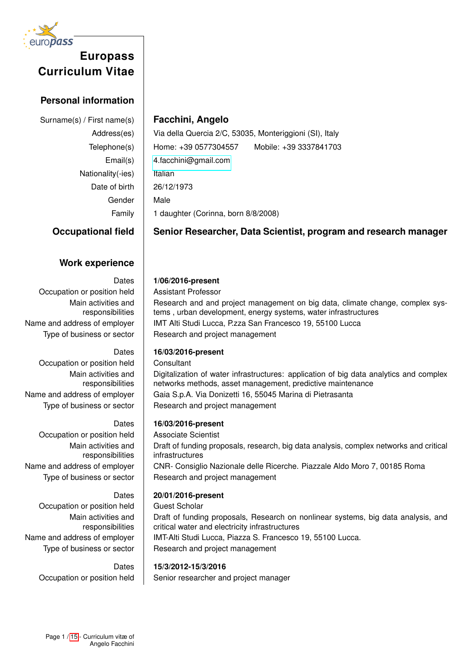

# **Personal information**

Nationality(-ies)  $\parallel$  Italian Date of birth 26/12/1973 Gender Male

# Surname(s) / First name(s) **Facchini, Angelo**

Address(es) | Via della Quercia 2/C, 53035, Monteriggioni (SI), Italy Telephone(s) Home: +39 0577304557 Mobile: +39 3337841703 Email(s) [4.facchini@gmail.com](mailto:4.facchini@gmail.com) Family 1 daughter (Corinna, born 8/8/2008)

# **Occupational field Senior Researcher, Data Scientist, program and research manager**

# **Work experience**

Occupation or position held | Assistant Professor Main activities and responsibilities

Occupation or position held | Consultant Main activities and responsibilities

Occupation or position held | Associate Scientist Main activities and responsibilities

Occupation or position held | Guest Scholar Main activities and responsibilities

## Dates **1/06/2016-present**

Research and and project management on big data, climate change, complex systems , urban development, energy systems, water infrastructures Name and address of employer | IMT Alti Studi Lucca, P.zza San Francesco 19, 55100 Lucca Type of business or sector  $\parallel$  Research and project management

## Dates **16/03/2016-present**

Digitalization of water infrastructures: application of big data analytics and complex networks methods, asset management, predictive maintenance Name and address of employer | Gaia S.p.A. Via Donizetti 16, 55045 Marina di Pietrasanta Type of business or sector  $\parallel$  Research and project management

## Dates **16/03/2016-present**

Draft of funding proposals, research, big data analysis, complex networks and critical infrastructures Name and address of employer | CNR- Consiglio Nazionale delle Ricerche. Piazzale Aldo Moro 7, 00185 Roma Type of business or sector  $\parallel$  Research and project management

# Dates **20/01/2016-present**

Draft of funding proposals, Research on nonlinear systems, big data analysis, and critical water and electricity infrastructures Name and address of employer | IMT-Alti Studi Lucca, Piazza S. Francesco 19, 55100 Lucca. Type of business or sector  $\parallel$  Research and project management

## Dates **15/3/2012-15/3/2016**

Occupation or position held | Senior researcher and project manager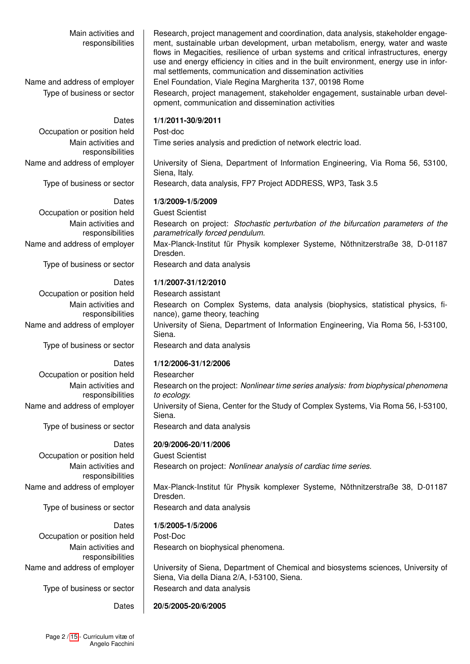Main activities and responsibilities Research, project management and coordination, data analysis, stakeholder engagement, sustainable urban development, urban metabolism, energy, water and waste flows in Megacities, resilience of urban systems and critical infrastructures, energy use and energy efficiency in cities and in the built environment, energy use in informal settlements, communication and dissemination activities Name and address of employer | Enel Foundation, Viale Regina Margherita 137, 00198 Rome Type of business or sector  $\Box$  Research, project management, stakeholder engagement, sustainable urban development, communication and dissemination activities Dates **1/1/2011-30/9/2011** Occupation or position held Post-doc Main activities and responsibilities Time series analysis and prediction of network electric load. Name and address of employer | University of Siena, Department of Information Engineering, Via Roma 56, 53100, Siena, Italy. Type of business or sector | Research, data analysis, FP7 Project ADDRESS, WP3, Task 3.5 Dates **1/3/2009-1/5/2009** Occupation or position held Guest Scientist Main activities and responsibilities Research on project: *Stochastic perturbation of the bifurcation parameters of the parametrically forced pendulum.* Name and address of employer | Max-Planck-Institut für Physik komplexer Systeme, Nöthnitzerstraße 38, D-01187 Dresden. Type of business or sector  $\parallel$  Research and data analysis Dates **1/1/2007-31/12/2010** Occupation or position held | Research assistant Main activities and responsibilities Research on Complex Systems, data analysis (biophysics, statistical physics, finance), game theory, teaching Name and address of employer | University of Siena, Department of Information Engineering, Via Roma 56, I-53100, Siena. Type of business or sector  $\parallel$  Research and data analysis Dates **1/12/2006-31/12/2006** Occupation or position held | Researcher Main activities and responsibilities Research on the project: *Nonlinear time series analysis: from biophysical phenomena to ecology.* Name and address of employer | University of Siena, Center for the Study of Complex Systems, Via Roma 56, I-53100, Siena. Type of business or sector  $\parallel$  Research and data analysis Dates **20/9/2006-20/11/2006** Occupation or position held | Guest Scientist Main activities and responsibilities Research on project: *Nonlinear analysis of cardiac time series.* Name and address of employer | Max-Planck-Institut für Physik komplexer Systeme, Nöthnitzerstraße 38, D-01187 Dresden. Type of business or sector  $\parallel$  Research and data analysis Dates **1/5/2005-1/5/2006** Occupation or position held | Post-Doc Main activities and responsibilities Research on biophysical phenomena. Name and address of employer | University of Siena, Department of Chemical and biosystems sciences, University of Siena, Via della Diana 2/A, I-53100, Siena. Type of business or sector  $\parallel$  Research and data analysis

Dates **20/5/2005-20/6/2005**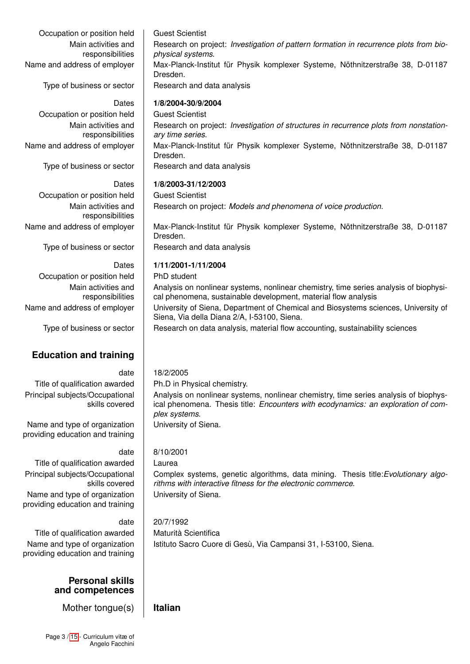Occupation or position held | Guest Scientist Main activities and responsibilities

Type of business or sector  $\parallel$  Research and data analysis

Occupation or position held | Guest Scientist Main activities and responsibilities

Occupation or position held | Guest Scientist Main activities and responsibilities

Type of business or sector  $\parallel$  Research and data analysis

Occupation or position held | PhD student Main activities and responsibilities

# **Education and training**

Title of qualification awarded  $\parallel$  Ph.D in Physical chemistry. Principal subjects/Occupational skills covered

Name and type of organization providing education and training

Title of qualification awarded | Laurea Principal subjects/Occupational skills covered

Name and type of organization providing education and training

Title of qualification awarded  $\parallel$  Maturità Scientifica Name and type of organization providing education and training

## **Personal skills and competences**

Mother tongue(s) **Italian**

Research on project: *Investigation of pattern formation in recurrence plots from biophysical systems.*

Name and address of employer | Max-Planck-Institut für Physik komplexer Systeme, Nöthnitzerstraße 38, D-01187 Dresden.

### Dates **1/8/2004-30/9/2004**

Research on project: *Investigation of structures in recurrence plots from nonstationary time series.* Name and address of employer | Max-Planck-Institut für Physik komplexer Systeme, Nöthnitzerstraße 38, D-01187 Dresden.

Type of business or sector  $\parallel$  Research and data analysis

### Dates **1/8/2003-31/12/2003**

Research on project: *Models and phenomena of voice production.*

Name and address of employer | Max-Planck-Institut für Physik komplexer Systeme, Nöthnitzerstraße 38, D-01187 Dresden.

Siena, Via della Diana 2/A, I-53100, Siena.

## Dates **1/11/2001-1/11/2004**

Analysis on nonlinear systems, nonlinear chemistry, time series analysis of biophysical phenomena, sustainable development, material flow analysis Name and address of employer | University of Siena, Department of Chemical and Biosystems sciences, University of

Type of business or sector **Research on data analysis, material flow accounting, sustainability sciences** 

## date 18/2/2005

Analysis on nonlinear systems, nonlinear chemistry, time series analysis of biophysical phenomena. Thesis title: *Encounters with ecodynamics: an exploration of complex systems*.

University of Siena.

## date 8/10/2001

Complex systems, genetic algorithms, data mining. Thesis title:*Evolutionary algorithms with interactive fitness for the electronic commerce*. University of Siena.

## date 20/7/1992

Istituto Sacro Cuore di Gesù, Via Campansi 31, I-53100, Siena.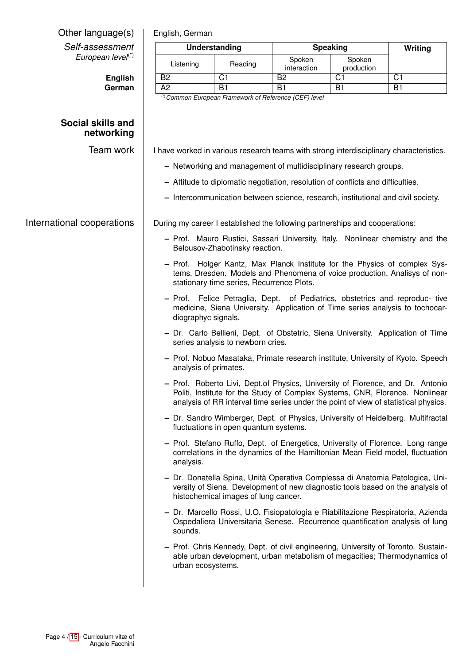| Other language(s)                                | English, German                                                                                                 |                                           | Writing                                                |                                                                                  |                                                                                                                                                                                                                                                       |
|--------------------------------------------------|-----------------------------------------------------------------------------------------------------------------|-------------------------------------------|--------------------------------------------------------|----------------------------------------------------------------------------------|-------------------------------------------------------------------------------------------------------------------------------------------------------------------------------------------------------------------------------------------------------|
| Self-assessment<br>European level <sup>(*)</sup> | <b>Understanding</b>                                                                                            |                                           |                                                        | <b>Speaking</b>                                                                  |                                                                                                                                                                                                                                                       |
|                                                  | Listening                                                                                                       | Reading                                   | Spoken<br>interaction                                  | Spoken<br>production                                                             |                                                                                                                                                                                                                                                       |
| <b>English</b>                                   | B2                                                                                                              | $\overline{C1}$                           | $\overline{B2}$                                        | $\overline{C1}$                                                                  | $\overline{C1}$                                                                                                                                                                                                                                       |
| German                                           | $\overline{A2}$                                                                                                 | $\overline{B1}$                           | $\overline{B1}$                                        | $\overline{B1}$                                                                  | $\overline{B1}$                                                                                                                                                                                                                                       |
|                                                  |                                                                                                                 |                                           | (*) Common European Framework of Reference (CEF) level |                                                                                  |                                                                                                                                                                                                                                                       |
| Social skills and<br>networking                  |                                                                                                                 |                                           |                                                        |                                                                                  |                                                                                                                                                                                                                                                       |
| Team work                                        |                                                                                                                 |                                           |                                                        |                                                                                  | I have worked in various research teams with strong interdisciplinary characteristics.                                                                                                                                                                |
|                                                  | - Networking and management of multidisciplinary research groups.                                               |                                           |                                                        |                                                                                  |                                                                                                                                                                                                                                                       |
|                                                  | - Attitude to diplomatic negotiation, resolution of conflicts and difficulties.                                 |                                           |                                                        |                                                                                  |                                                                                                                                                                                                                                                       |
|                                                  |                                                                                                                 |                                           |                                                        | - Intercommunication between science, research, institutional and civil society. |                                                                                                                                                                                                                                                       |
| International cooperations                       |                                                                                                                 |                                           |                                                        | During my career I established the following partnerships and cooperations:      |                                                                                                                                                                                                                                                       |
|                                                  | - Prof. Mauro Rustici, Sassari University, Italy. Nonlinear chemistry and the<br>Belousov-Zhabotinsky reaction. |                                           |                                                        |                                                                                  |                                                                                                                                                                                                                                                       |
|                                                  |                                                                                                                 | stationary time series, Recurrence Plots. |                                                        |                                                                                  | - Prof. Holger Kantz, Max Planck Institute for the Physics of complex Sys-<br>tems, Dresden. Models and Phenomena of voice production, Analisys of non-                                                                                               |
|                                                  | diographyc signals.                                                                                             |                                           |                                                        |                                                                                  | - Prof. Felice Petraglia, Dept. of Pediatrics, obstetrics and reproduc- tive<br>medicine, Siena University. Application of Time series analysis to tochocar-                                                                                          |
|                                                  |                                                                                                                 | series analysis to newborn cries.         |                                                        |                                                                                  | - Dr. Carlo Bellieni, Dept. of Obstetric, Siena University. Application of Time                                                                                                                                                                       |
|                                                  | analysis of primates.                                                                                           |                                           |                                                        |                                                                                  | - Prof. Nobuo Masataka, Primate research institute, University of Kyoto. Speech                                                                                                                                                                       |
|                                                  |                                                                                                                 |                                           |                                                        |                                                                                  | - Prof. Roberto Livi, Dept.of Physics, University of Florence, and Dr. Antonio<br>Politi, Institute for the Study of Complex Systems, CNR, Florence. Nonlinear<br>analysis of RR interval time series under the point of view of statistical physics. |
|                                                  |                                                                                                                 | fluctuations in open quantum systems.     |                                                        |                                                                                  | - Dr. Sandro Wimberger, Dept. of Physics, University of Heidelberg. Multifractal                                                                                                                                                                      |
|                                                  | analysis.                                                                                                       |                                           |                                                        |                                                                                  | - Prof. Stefano Ruffo, Dept. of Energetics, University of Florence. Long range<br>correlations in the dynamics of the Hamiltonian Mean Field model, fluctuation                                                                                       |
|                                                  |                                                                                                                 | histochemical images of lung cancer.      |                                                        |                                                                                  | - Dr. Donatella Spina, Unità Operativa Complessa di Anatomia Patologica, Uni-<br>versity of Siena. Development of new diagnostic tools based on the analysis of                                                                                       |
|                                                  | sounds.                                                                                                         |                                           |                                                        |                                                                                  | - Dr. Marcello Rossi, U.O. Fisiopatologia e Riabilitazione Respiratoria, Azienda<br>Ospedaliera Universitaria Senese. Recurrence quantification analysis of lung                                                                                      |
|                                                  | urban ecosystems.                                                                                               |                                           |                                                        |                                                                                  | - Prof. Chris Kennedy, Dept. of civil engineering, University of Toronto. Sustain-<br>able urban development, urban metabolism of megacities; Thermodynamics of                                                                                       |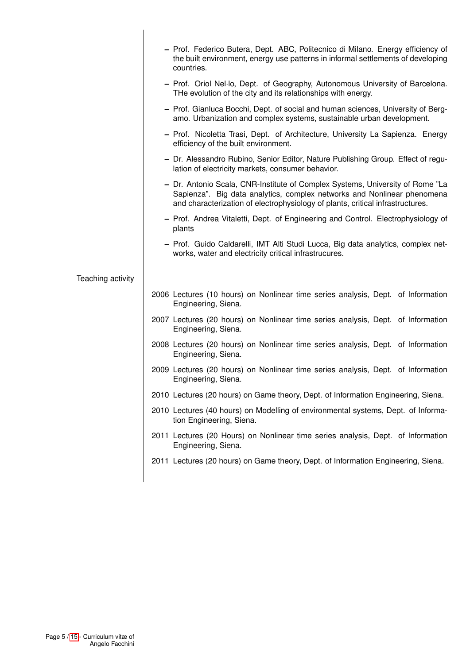|                   | - Prof. Federico Butera, Dept. ABC, Politecnico di Milano. Energy efficiency of<br>the built environment, energy use patterns in informal settlements of developing<br>countries.                                                          |
|-------------------|--------------------------------------------------------------------------------------------------------------------------------------------------------------------------------------------------------------------------------------------|
|                   | - Prof. Oriol Nel-lo, Dept. of Geography, Autonomous University of Barcelona.<br>THe evolution of the city and its relationships with energy.                                                                                              |
|                   | - Prof. Gianluca Bocchi, Dept. of social and human sciences, University of Berg-<br>amo. Urbanization and complex systems, sustainable urban development.                                                                                  |
|                   | - Prof. Nicoletta Trasi, Dept. of Architecture, University La Sapienza. Energy<br>efficiency of the built environment.                                                                                                                     |
|                   | - Dr. Alessandro Rubino, Senior Editor, Nature Publishing Group. Effect of regu-<br>lation of electricity markets, consumer behavior.                                                                                                      |
|                   | - Dr. Antonio Scala, CNR-Institute of Complex Systems, University of Rome "La<br>Sapienza". Big data analytics, complex networks and Nonlinear phenomena<br>and characterization of electrophysiology of plants, critical infrastructures. |
|                   | - Prof. Andrea Vitaletti, Dept. of Engineering and Control. Electrophysiology of<br>plants                                                                                                                                                 |
|                   | - Prof. Guido Caldarelli, IMT Alti Studi Lucca, Big data analytics, complex net-<br>works, water and electricity critical infrastrucures.                                                                                                  |
| Teaching activity |                                                                                                                                                                                                                                            |
|                   | 2006 Lectures (10 hours) on Nonlinear time series analysis, Dept. of Information<br>Engineering, Siena.                                                                                                                                    |
|                   | 2007 Lectures (20 hours) on Nonlinear time series analysis, Dept. of Information<br>Engineering, Siena.                                                                                                                                    |
|                   | 2008 Lectures (20 hours) on Nonlinear time series analysis, Dept. of Information<br>Engineering, Siena.                                                                                                                                    |
|                   | 2009 Lectures (20 hours) on Nonlinear time series analysis, Dept. of Information<br>Engineering, Siena.                                                                                                                                    |
|                   | 2010 Lectures (20 hours) on Game theory, Dept. of Information Engineering, Siena.                                                                                                                                                          |
|                   | 2010 Lectures (40 hours) on Modelling of environmental systems, Dept. of Informa-<br>tion Engineering, Siena.                                                                                                                              |
|                   | 2011 Lectures (20 Hours) on Nonlinear time series analysis, Dept. of Information<br>Engineering, Siena.                                                                                                                                    |
|                   | 2011 Lectures (20 hours) on Game theory, Dept. of Information Engineering, Siena.                                                                                                                                                          |
|                   |                                                                                                                                                                                                                                            |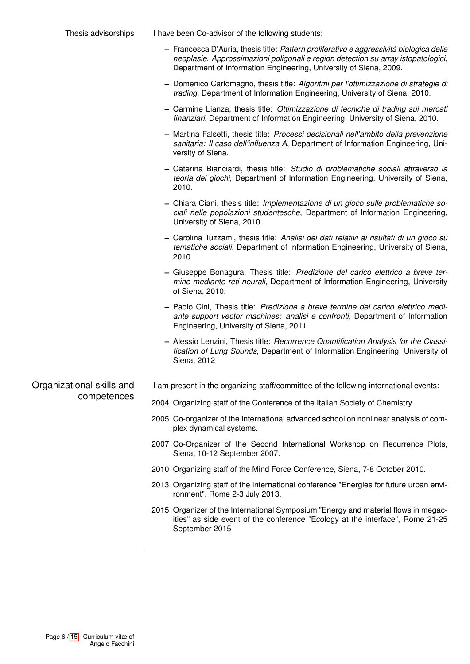| Thesis advisorships       | I have been Co-advisor of the following students:                                                                                                                                                                                                 |  |  |  |
|---------------------------|---------------------------------------------------------------------------------------------------------------------------------------------------------------------------------------------------------------------------------------------------|--|--|--|
|                           | - Francesca D'Auria, thesis title: Pattern proliferativo e aggressività biologica delle<br>neoplasie. Approssimazioni poligonali e region detection su array istopatologici,<br>Department of Information Engineering, University of Siena, 2009. |  |  |  |
|                           | - Domenico Carlomagno, thesis title: Algoritmi per l'ottimizzazione di strategie di<br>trading, Department of Information Engineering, University of Siena, 2010.                                                                                 |  |  |  |
|                           | - Carmine Lianza, thesis title: Ottimizzazione di tecniche di trading sui mercati<br>finanziari, Department of Information Engineering, University of Siena, 2010.                                                                                |  |  |  |
|                           | - Martina Falsetti, thesis title: Processi decisionali nell'ambito della prevenzione<br>sanitaria: Il caso dell'influenza A, Department of Information Engineering, Uni-<br>versity of Siena.                                                     |  |  |  |
|                           | - Caterina Bianciardi, thesis title: Studio di problematiche sociali attraverso la<br>teoria dei giochi, Department of Information Engineering, University of Siena,<br>2010.                                                                     |  |  |  |
|                           | - Chiara Ciani, thesis title: Implementazione di un gioco sulle problematiche so-<br>ciali nelle popolazioni studentesche, Department of Information Engineering,<br>University of Siena, 2010.                                                   |  |  |  |
|                           | - Carolina Tuzzami, thesis title: Analisi dei dati relativi ai risultati di un gioco su<br>tematiche sociali, Department of Information Engineering, University of Siena,<br>2010.                                                                |  |  |  |
|                           | - Giuseppe Bonagura, Thesis title: Predizione del carico elettrico a breve ter-<br>mine mediante reti neurali, Department of Information Engineering, University<br>of Siena, 2010.                                                               |  |  |  |
|                           | - Paolo Cini, Thesis title: Predizione a breve termine del carico elettrico medi-<br>ante support vector machines: analisi e confronti, Department of Information<br>Engineering, University of Siena, 2011.                                      |  |  |  |
|                           | - Alessio Lenzini, Thesis title: Recurrence Quantification Analysis for the Classi-<br>fication of Lung Sounds, Department of Information Engineering, University of<br>Siena, 2012                                                               |  |  |  |
| Organizational skills and | I am present in the organizing staff/committee of the following international events:                                                                                                                                                             |  |  |  |
| competences               | 2004 Organizing staff of the Conference of the Italian Society of Chemistry.                                                                                                                                                                      |  |  |  |
|                           | 2005 Co-organizer of the International advanced school on nonlinear analysis of com-<br>plex dynamical systems.                                                                                                                                   |  |  |  |
|                           | 2007 Co-Organizer of the Second International Workshop on Recurrence Plots,<br>Siena, 10-12 September 2007.                                                                                                                                       |  |  |  |
|                           | 2010 Organizing staff of the Mind Force Conference, Siena, 7-8 October 2010.                                                                                                                                                                      |  |  |  |
|                           | 2013 Organizing staff of the international conference "Energies for future urban envi-<br>ronment", Rome 2-3 July 2013.                                                                                                                           |  |  |  |
|                           | 2015 Organizer of the International Symposium "Energy and material flows in megac-<br>ities" as side event of the conference "Ecology at the interface", Rome 21-25<br>September 2015                                                             |  |  |  |
|                           |                                                                                                                                                                                                                                                   |  |  |  |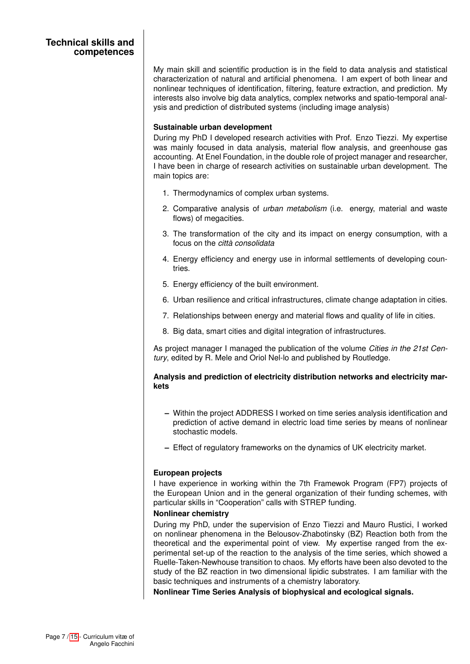My main skill and scientific production is in the field to data analysis and statistical characterization of natural and artificial phenomena. I am expert of both linear and nonlinear techniques of identification, filtering, feature extraction, and prediction. My interests also involve big data analytics, complex networks and spatio-temporal analysis and prediction of distributed systems (including image analysis)

### **Sustainable urban development**

During my PhD I developed research activities with Prof. Enzo Tiezzi. My expertise was mainly focused in data analysis, material flow analysis, and greenhouse gas accounting. At Enel Foundation, in the double role of project manager and researcher, I have been in charge of research activities on sustainable urban development. The main topics are:

- 1. Thermodynamics of complex urban systems.
- 2. Comparative analysis of *urban metabolism* (i.e. energy, material and waste flows) of megacities.
- 3. The transformation of the city and its impact on energy consumption, with a focus on the *città consolidata*
- 4. Energy efficiency and energy use in informal settlements of developing countries.
- 5. Energy efficiency of the built environment.
- 6. Urban resilience and critical infrastructures, climate change adaptation in cities.
- 7. Relationships between energy and material flows and quality of life in cities.
- 8. Big data, smart cities and digital integration of infrastructures.

As project manager I managed the publication of the volume *Cities in the 21st Century*, edited by R. Mele and Oriol Nel-lo and published by Routledge.

## **Analysis and prediction of electricity distribution networks and electricity markets**

- **–** Within the project ADDRESS I worked on time series analysis identification and prediction of active demand in electric load time series by means of nonlinear stochastic models.
- **–** Effect of regulatory frameworks on the dynamics of UK electricity market.

### **European projects**

I have experience in working within the 7th Framewok Program (FP7) projects of the European Union and in the general organization of their funding schemes, with particular skills in "Cooperation" calls with STREP funding.

### **Nonlinear chemistry**

During my PhD, under the supervision of Enzo Tiezzi and Mauro Rustici, I worked on nonlinear phenomena in the Belousov-Zhabotinsky (BZ) Reaction both from the theoretical and the experimental point of view. My expertise ranged from the experimental set-up of the reaction to the analysis of the time series, which showed a Ruelle-Taken-Newhouse transition to chaos. My efforts have been also devoted to the study of the BZ reaction in two dimensional lipidic substrates. I am familiar with the basic techniques and instruments of a chemistry laboratory.

**Nonlinear Time Series Analysis of biophysical and ecological signals.**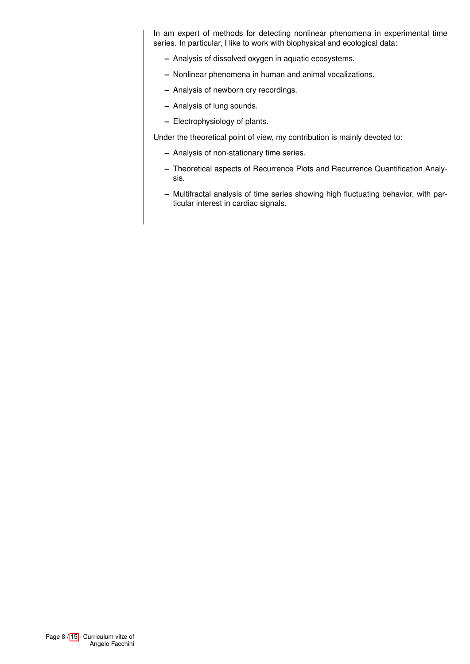In am expert of methods for detecting nonlinear phenomena in experimental time series. In particular, I like to work with biophysical and ecological data:

- **–** Analysis of dissolved oxygen in aquatic ecosystems.
- **–** Nonlinear phenomena in human and animal vocalizations.
- **–** Analysis of newborn cry recordings.
- **–** Analysis of lung sounds.
- **–** Electrophysiology of plants.

Under the theoretical point of view, my contribution is mainly devoted to:

- **–** Analysis of non-stationary time series.
- **–** Theoretical aspects of Recurrence Plots and Recurrence Quantification Analysis.
- **–** Multifractal analysis of time series showing high fluctuating behavior, with particular interest in cardiac signals.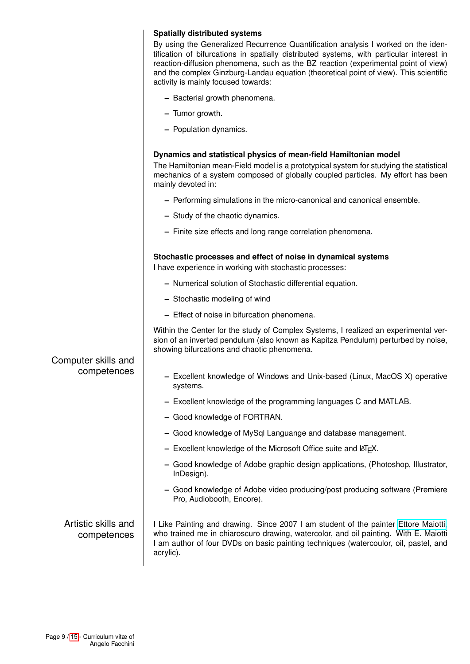|                                    | <b>Spatially distributed systems</b><br>By using the Generalized Recurrence Quantification analysis I worked on the iden-<br>tification of bifurcations in spatially distributed systems, with particular interest in<br>reaction-diffusion phenomena, such as the BZ reaction (experimental point of view)<br>and the complex Ginzburg-Landau equation (theoretical point of view). This scientific<br>activity is mainly focused towards: |
|------------------------------------|---------------------------------------------------------------------------------------------------------------------------------------------------------------------------------------------------------------------------------------------------------------------------------------------------------------------------------------------------------------------------------------------------------------------------------------------|
|                                    | - Bacterial growth phenomena.                                                                                                                                                                                                                                                                                                                                                                                                               |
|                                    | - Tumor growth.                                                                                                                                                                                                                                                                                                                                                                                                                             |
|                                    | - Population dynamics.                                                                                                                                                                                                                                                                                                                                                                                                                      |
|                                    | Dynamics and statistical physics of mean-field Hamiltonian model<br>The Hamiltonian mean-Field model is a prototypical system for studying the statistical<br>mechanics of a system composed of globally coupled particles. My effort has been<br>mainly devoted in:                                                                                                                                                                        |
|                                    | - Performing simulations in the micro-canonical and canonical ensemble.                                                                                                                                                                                                                                                                                                                                                                     |
|                                    | - Study of the chaotic dynamics.                                                                                                                                                                                                                                                                                                                                                                                                            |
|                                    | - Finite size effects and long range correlation phenomena.                                                                                                                                                                                                                                                                                                                                                                                 |
|                                    | Stochastic processes and effect of noise in dynamical systems                                                                                                                                                                                                                                                                                                                                                                               |
|                                    | I have experience in working with stochastic processes:                                                                                                                                                                                                                                                                                                                                                                                     |
|                                    | - Numerical solution of Stochastic differential equation.<br>- Stochastic modeling of wind                                                                                                                                                                                                                                                                                                                                                  |
|                                    | - Effect of noise in bifurcation phenomena.                                                                                                                                                                                                                                                                                                                                                                                                 |
| Computer skills and<br>competences | Within the Center for the study of Complex Systems, I realized an experimental ver-<br>sion of an inverted pendulum (also known as Kapitza Pendulum) perturbed by noise,<br>showing bifurcations and chaotic phenomena.                                                                                                                                                                                                                     |
|                                    | Excellent knowledge of Windows and Unix-based (Linux, MacOS X) operative<br>systems.                                                                                                                                                                                                                                                                                                                                                        |
|                                    | - Excellent knowledge of the programming languages C and MATLAB.                                                                                                                                                                                                                                                                                                                                                                            |
|                                    | - Good knowledge of FORTRAN.                                                                                                                                                                                                                                                                                                                                                                                                                |
|                                    | - Good knowledge of MySql Languange and database management.                                                                                                                                                                                                                                                                                                                                                                                |
|                                    | $-$ Excellent knowledge of the Microsoft Office suite and $E\not\vdash X$ .                                                                                                                                                                                                                                                                                                                                                                 |
|                                    | - Good knowledge of Adobe graphic design applications, (Photoshop, Illustrator,<br>InDesign).                                                                                                                                                                                                                                                                                                                                               |
|                                    | - Good knowledge of Adobe video producing/post producing software (Premiere<br>Pro, Audiobooth, Encore).                                                                                                                                                                                                                                                                                                                                    |
| Artistic skills and<br>competences | I Like Painting and drawing. Since 2007 I am student of the painter Ettore Maiotti,<br>who trained me in chiaroscuro drawing, watercolor, and oil painting. With E. Maiotti<br>I am author of four DVDs on basic painting techniques (watercoulor, oil, pastel, and<br>acrylic).                                                                                                                                                            |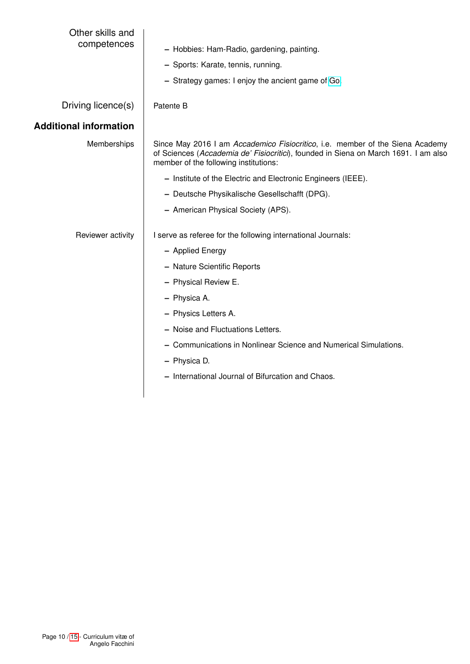| Other skills and<br>competences | - Hobbies: Ham-Radio, gardening, painting.<br>- Sports: Karate, tennis, running.<br>- Strategy games: I enjoy the ancient game of Go.                                                                         |  |  |
|---------------------------------|---------------------------------------------------------------------------------------------------------------------------------------------------------------------------------------------------------------|--|--|
| Driving licence(s)              | Patente B                                                                                                                                                                                                     |  |  |
| <b>Additional information</b>   |                                                                                                                                                                                                               |  |  |
| Memberships                     | Since May 2016 I am Accademico Fisiocritico, i.e. member of the Siena Academy<br>of Sciences (Accademia de' Fisiocritici), founded in Siena on March 1691. I am also<br>member of the following institutions: |  |  |
|                                 | - Institute of the Electric and Electronic Engineers (IEEE).                                                                                                                                                  |  |  |
|                                 | - Deutsche Physikalische Gesellschafft (DPG).                                                                                                                                                                 |  |  |
|                                 | - American Physical Society (APS).                                                                                                                                                                            |  |  |
| Reviewer activity               | I serve as referee for the following international Journals:                                                                                                                                                  |  |  |
|                                 | - Applied Energy                                                                                                                                                                                              |  |  |
|                                 | - Nature Scientific Reports                                                                                                                                                                                   |  |  |
|                                 | - Physical Review E.                                                                                                                                                                                          |  |  |
|                                 | - Physica A.                                                                                                                                                                                                  |  |  |
|                                 | - Physics Letters A.                                                                                                                                                                                          |  |  |
|                                 | - Noise and Fluctuations Letters.                                                                                                                                                                             |  |  |
|                                 | - Communications in Nonlinear Science and Numerical Simulations.                                                                                                                                              |  |  |
|                                 | - Physica D.                                                                                                                                                                                                  |  |  |
|                                 | - International Journal of Bifurcation and Chaos.                                                                                                                                                             |  |  |
|                                 |                                                                                                                                                                                                               |  |  |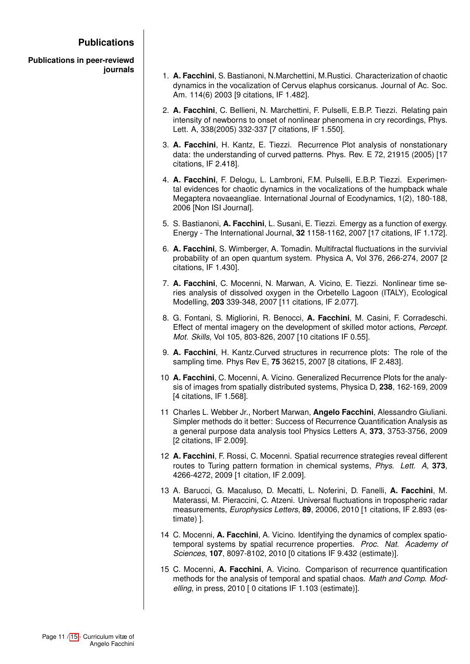# **Publications**

**Publications in peer-reviewd journals**

- 1. **A. Facchini**, S. Bastianoni, N.Marchettini, M.Rustici. Characterization of chaotic dynamics in the vocalization of Cervus elaphus corsicanus. Journal of Ac. Soc. Am. 114(6) 2003 [9 citations, IF 1.482].
- 2. **A. Facchini**, C. Bellieni, N. Marchettini, F. Pulselli, E.B.P. Tiezzi. Relating pain intensity of newborns to onset of nonlinear phenomena in cry recordings, Phys. Lett. A, 338(2005) 332-337 [7 citations, IF 1.550].
- 3. **A. Facchini**, H. Kantz, E. Tiezzi. Recurrence Plot analysis of nonstationary data: the understanding of curved patterns. Phys. Rev. E 72, 21915 (2005) [17 citations, IF 2.418].
- 4. **A. Facchini**, F. Delogu, L. Lambroni, F.M. Pulselli, E.B.P. Tiezzi. Experimental evidences for chaotic dynamics in the vocalizations of the humpback whale Megaptera novaeangliae. International Journal of Ecodynamics, 1(2), 180-188, 2006 [Non ISI Journal].
- 5. S. Bastianoni, **A. Facchini**, L. Susani, E. Tiezzi. Emergy as a function of exergy. Energy - The International Journal, **32** 1158-1162, 2007 [17 citations, IF 1.172].
- 6. **A. Facchini**, S. Wimberger, A. Tomadin. Multifractal fluctuations in the survivial probability of an open quantum system. Physica A, Vol 376, 266-274, 2007 [2 citations, IF 1.430].
- 7. **A. Facchini**, C. Mocenni, N. Marwan, A. Vicino, E. Tiezzi. Nonlinear time series analysis of dissolved oxygen in the Orbetello Lagoon (ITALY), Ecological Modelling, **203** 339-348, 2007 [11 citations, IF 2.077].
- 8. G. Fontani, S. Migliorini, R. Benocci, **A. Facchini**, M. Casini, F. Corradeschi. Effect of mental imagery on the development of skilled motor actions, *Percept. Mot. Skills*, Vol 105, 803-826, 2007 [10 citations IF 0.55].
- 9. **A. Facchini**, H. Kantz.Curved structures in recurrence plots: The role of the sampling time. Phys Rev E, **75** 36215, 2007 [8 citations, IF 2.483].
- 10 **A. Facchini**, C. Mocenni, A. Vicino. Generalized Recurrence Plots for the analysis of images from spatially distributed systems, Physica D, **238**, 162-169, 2009 [4 citations, IF 1.568].
- 11 Charles L. Webber Jr., Norbert Marwan, **Angelo Facchini**, Alessandro Giuliani. Simpler methods do it better: Success of Recurrence Quantification Analysis as a general purpose data analysis tool Physics Letters A, **373**, 3753-3756, 2009 [2 citations, IF 2.009].
- 12 **A. Facchini**, F. Rossi, C. Mocenni. Spatial recurrence strategies reveal different routes to Turing pattern formation in chemical systems, *Phys. Lett. A*, **373**, 4266-4272, 2009 [1 citation, IF 2.009].
- 13 A. Barucci, G. Macaluso, D. Mecatti, L. Noferini, D. Fanelli, **A. Facchini**, M. Materassi, M. Pieraccini, C. Atzeni. Universal fluctuations in tropospheric radar measurements, *Europhysics Letters*, **89**, 20006, 2010 [1 citations, IF 2.893 (estimate) ].
- 14 C. Mocenni, **A. Facchini**, A. Vicino. Identifying the dynamics of complex spatiotemporal systems by spatial recurrence properties. *Proc. Nat. Academy of Sciences*, **107**, 8097-8102, 2010 [0 citations IF 9.432 (estimate)].
- 15 C. Mocenni, **A. Facchini**, A. Vicino. Comparison of recurrence quantification methods for the analysis of temporal and spatial chaos. *Math and Comp. Modelling*, in press, 2010 [ 0 citations IF 1.103 (estimate)].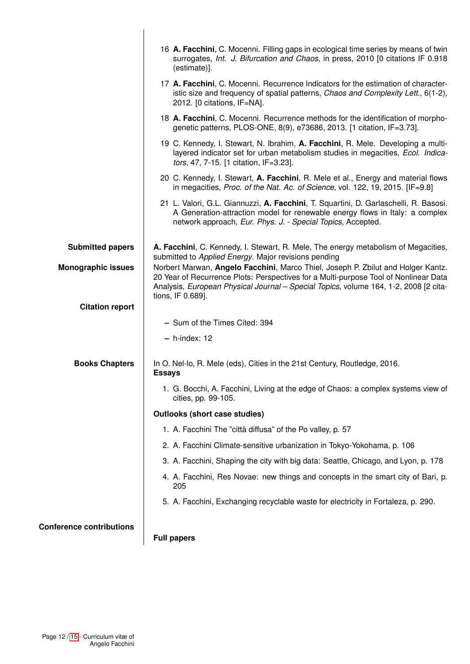|                                 | 16 A. Facchini, C. Mocenni. Filling gaps in ecological time series by means of twin<br>surrogates, Int. J. Bifurcation and Chaos, in press, 2010 [0 citations IF 0.918<br>(estimate)].                                                                                                |
|---------------------------------|---------------------------------------------------------------------------------------------------------------------------------------------------------------------------------------------------------------------------------------------------------------------------------------|
|                                 | 17 A. Facchini, C. Mocenni. Recurrence Indicators for the estimation of character-<br>istic size and frequency of spatial patterns, Chaos and Complexity Lett., 6(1-2),<br>2012. [0 citations, IF=NA].                                                                                |
|                                 | 18 A. Facchini, C. Mocenni. Recurrence methods for the identification of morpho-<br>genetic patterns, PLOS-ONE, 8(9), e73686, 2013. [1 citation, IF=3.73].                                                                                                                            |
|                                 | 19 C. Kennedy, I. Stewart, N. Ibrahim, A. Facchini, R. Mele. Developing a multi-<br>layered indicator set for urban metabolism studies in megacities, Ecol. Indica-<br>tors, 47, 7-15. [1 citation, IF=3.23].                                                                         |
|                                 | 20 C. Kennedy, I. Stewart, A. Facchini, R. Mele et al., Energy and material flows<br>in megacities, Proc. of the Nat. Ac. of Science, vol. 122, 19, 2015. [IF=9.8]                                                                                                                    |
|                                 | 21 L. Valori, G.L. Giannuzzi, A. Facchini, T. Squartini, D. Garlaschelli, R. Basosi.<br>A Generation-attraction model for renewable energy flows in Italy: a complex<br>network approach, Eur. Phys. J. - Special Topics, Accepted.                                                   |
| <b>Submitted papers</b>         | A. Facchini, C. Kennedy, I. Stewart, R. Mele, The energy metabolism of Megacities,<br>submitted to Applied Energy. Major revisions pending                                                                                                                                            |
| <b>Monographic issues</b>       | Norbert Marwan, Angelo Facchini, Marco Thiel, Joseph P. Zbilut and Holger Kantz.<br>20 Year of Recurrence Plots: Perspectives for a Multi-purpose Tool of Nonlinear Data<br>Analysis, European Physical Journal - Special Topics, volume 164, 1-2, 2008 [2 cita-<br>tions, IF 0.689]. |
| <b>Citation report</b>          |                                                                                                                                                                                                                                                                                       |
|                                 | - Sum of the Times Cited: 394                                                                                                                                                                                                                                                         |
|                                 | $- h$ -index: 12                                                                                                                                                                                                                                                                      |
| <b>Books Chapters</b>           | In O. Nel-lo, R. Mele (eds), Cities in the 21st Century, Routledge, 2016.<br><b>Essays</b>                                                                                                                                                                                            |
|                                 | 1. G. Bocchi, A. Facchini, Living at the edge of Chaos: a complex systems view of<br>cities, pp. 99-105.                                                                                                                                                                              |
|                                 | <b>Outlooks (short case studies)</b>                                                                                                                                                                                                                                                  |
|                                 | 1. A. Facchini The "città diffusa" of the Po valley, p. 57                                                                                                                                                                                                                            |
|                                 | 2. A. Facchini Climate-sensitive urbanization in Tokyo-Yokohama, p. 106                                                                                                                                                                                                               |
|                                 | 3. A. Facchini, Shaping the city with big data: Seattle, Chicago, and Lyon, p. 178                                                                                                                                                                                                    |
|                                 | 4. A. Facchini, Res Novae: new things and concepts in the smart city of Bari, p.<br>205                                                                                                                                                                                               |
|                                 | 5. A. Facchini, Exchanging recyclable waste for electricity in Fortaleza, p. 290.                                                                                                                                                                                                     |
| <b>Conference contributions</b> | <b>Full papers</b>                                                                                                                                                                                                                                                                    |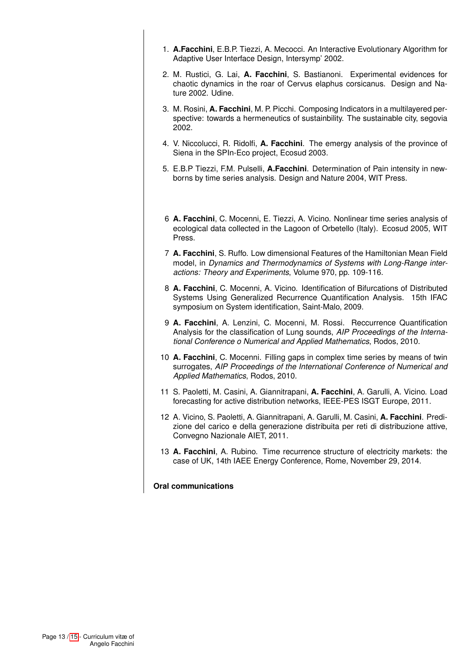- 1. **A.Facchini**, E.B.P. Tiezzi, A. Mecocci. An Interactive Evolutionary Algorithm for Adaptive User Interface Design, Intersymp' 2002.
- 2. M. Rustici, G. Lai, **A. Facchini**, S. Bastianoni. Experimental evidences for chaotic dynamics in the roar of Cervus elaphus corsicanus. Design and Nature 2002. Udine.
- 3. M. Rosini, **A. Facchini**, M. P. Picchi. Composing Indicators in a multilayered perspective: towards a hermeneutics of sustainbility. The sustainable city, segovia 2002.
- 4. V. Niccolucci, R. Ridolfi, **A. Facchini**. The emergy analysis of the province of Siena in the SPIn-Eco project, Ecosud 2003.
- 5. E.B.P Tiezzi, F.M. Pulselli, **A.Facchini**. Determination of Pain intensity in newborns by time series analysis. Design and Nature 2004, WIT Press.
- 6 **A. Facchini**, C. Mocenni, E. Tiezzi, A. Vicino. Nonlinear time series analysis of ecological data collected in the Lagoon of Orbetello (Italy). Ecosud 2005, WIT Press.
- 7 **A. Facchini**, S. Ruffo. Low dimensional Features of the Hamiltonian Mean Field model, in *Dynamics and Thermodynamics of Systems with Long-Range interactions: Theory and Experiments*, Volume 970, pp. 109-116.
- 8 **A. Facchini**, C. Mocenni, A. Vicino. Identification of Bifurcations of Distributed Systems Using Generalized Recurrence Quantification Analysis. 15th IFAC symposium on System identification, Saint-Malo, 2009.
- 9 **A. Facchini**, A. Lenzini, C. Mocenni, M. Rossi. Reccurrence Quantification Analysis for the classification of Lung sounds, *AIP Proceedings of the International Conference o Numerical and Applied Mathematics*, Rodos, 2010.
- 10 **A. Facchini**, C. Mocenni. Filling gaps in complex time series by means of twin surrogates, *AIP Proceedings of the International Conference of Numerical and Applied Mathematics*, Rodos, 2010.
- 11 S. Paoletti, M. Casini, A. Giannitrapani, **A. Facchini**, A. Garulli, A. Vicino. Load forecasting for active distribution networks, IEEE-PES ISGT Europe, 2011.
- 12 A. Vicino, S. Paoletti, A. Giannitrapani, A. Garulli, M. Casini, **A. Facchini**. Predizione del carico e della generazione distribuita per reti di distribuzione attive, Convegno Nazionale AIET, 2011.
- 13 **A. Facchini**, A. Rubino. Time recurrence structure of electricity markets: the case of UK, 14th IAEE Energy Conference, Rome, November 29, 2014.

**Oral communications**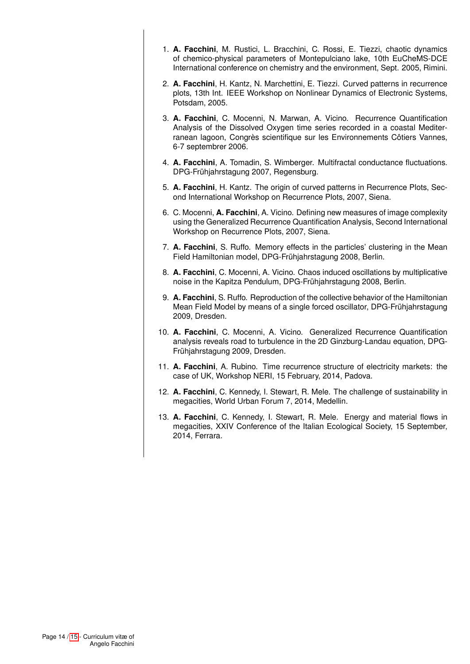- 1. **A. Facchini**, M. Rustici, L. Bracchini, C. Rossi, E. Tiezzi, chaotic dynamics of chemico-physical parameters of Montepulciano lake, 10th EuCheMS-DCE International conference on chemistry and the environment, Sept. 2005, Rimini.
- 2. **A. Facchini**, H. Kantz, N. Marchettini, E. Tiezzi. Curved patterns in recurrence plots, 13th Int. IEEE Workshop on Nonlinear Dynamics of Electronic Systems, Potsdam, 2005.
- 3. **A. Facchini**, C. Mocenni, N. Marwan, A. Vicino. Recurrence Quantification Analysis of the Dissolved Oxygen time series recorded in a coastal Mediterranean lagoon, Congrès scientifique sur les Environnements Côtiers Vannes, 6-7 septembrer 2006.
- 4. **A. Facchini**, A. Tomadin, S. Wimberger. Multifractal conductance fluctuations. DPG-Frühjahrstagung 2007, Regensburg.
- 5. **A. Facchini**, H. Kantz. The origin of curved patterns in Recurrence Plots, Second International Workshop on Recurrence Plots, 2007, Siena.
- 6. C. Mocenni, **A. Facchini**, A. Vicino. Defining new measures of image complexity using the Generalized Recurrence Quantification Analysis, Second International Workshop on Recurrence Plots, 2007, Siena.
- 7. **A. Facchini**, S. Ruffo. Memory effects in the particles' clustering in the Mean Field Hamiltonian model, DPG-Frühjahrstagung 2008, Berlin.
- 8. **A. Facchini**, C. Mocenni, A. Vicino. Chaos induced oscillations by multiplicative noise in the Kapitza Pendulum, DPG-Frühjahrstagung 2008, Berlin.
- 9. **A. Facchini**, S. Ruffo. Reproduction of the collective behavior of the Hamiltonian Mean Field Model by means of a single forced oscillator, DPG-Frühjahrstagung 2009, Dresden.
- 10. **A. Facchini**, C. Mocenni, A. Vicino. Generalized Recurrence Quantification analysis reveals road to turbulence in the 2D Ginzburg-Landau equation, DPG-Frühjahrstagung 2009, Dresden.
- 11. **A. Facchini**, A. Rubino. Time recurrence structure of electricity markets: the case of UK, Workshop NERI, 15 February, 2014, Padova.
- 12. **A. Facchini**, C. Kennedy, I. Stewart, R. Mele. The challenge of sustainability in megacities, World Urban Forum 7, 2014, Medellin.
- 13. **A. Facchini**, C. Kennedy, I. Stewart, R. Mele. Energy and material flows in megacities, XXIV Conference of the Italian Ecological Society, 15 September, 2014, Ferrara.